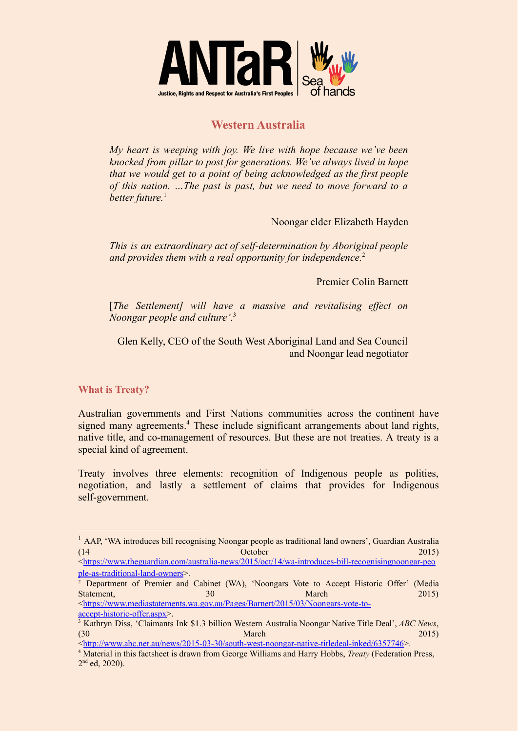

## **Western Australia**

*My heart is weeping with joy. We live with hope because we've been knocked from pillar to post for generations. We've always lived in hope that we would get to a point of being acknowledged as the first people of this nation. …The past is past, but we need to move forward to a better future.*<sup>1</sup>

Noongar elder Elizabeth Hayden

*This is an extraordinary act of self-determination by Aboriginal people and provides them with a real opportunity for independence.*<sup>2</sup>

Premier Colin Barnett

[*The Settlement] will have a massive and revitalising effect on Noongar people and culture'*. 3

Glen Kelly, CEO of the South West Aboriginal Land and Sea Council and Noongar lead negotiator

**What is Treaty?**

Australian governments and First Nations communities across the continent have signed many agreements.<sup>4</sup> These include significant arrangements about land rights, native title, and co-management of resources. But these are not treaties. A treaty is a special kind of agreement.

Treaty involves three elements: recognition of Indigenous people as polities, negotiation, and lastly a settlement of claims that provides for Indigenous self-government.

<sup>&</sup>lt;sup>1</sup> AAP, 'WA introduces bill recognising Noongar people as traditional land owners', Guardian Australia (14 October 2015)

 $\leq$ [https://www.theguardian.com/australia-news/2015/oct/14/wa-introduces-bill-recognisingnoongar-peo](https://www.theguardian.com/australia-news/2015/oct/14/wa-introduces-bill-recognisingnoongar-people-as-traditional-land-owners) [ple-as-traditional-land-owners](https://www.theguardian.com/australia-news/2015/oct/14/wa-introduces-bill-recognisingnoongar-people-as-traditional-land-owners)>.

<sup>&</sup>lt;sup>2</sup> Department of Premier and Cabinet (WA), 'Noongars Vote to Accept Historic Offer' (Media Statement, 30 March 2015) <[https://www.mediastatements.wa.gov.au/Pages/Barnett/2015/03/Noongars-vote-to-](https://www.mediastatements.wa.gov.au/Pages/Barnett/2015/03/Noongars-vote-to-accept-historic-offer.aspx)

<sup>3</sup> Kathryn Diss, 'Claimants Ink \$1.3 billion Western Australia Noongar Native Title Deal', *ABC News*,  $\text{March}$  2015) [accept-historic-offer.aspx>](https://www.mediastatements.wa.gov.au/Pages/Barnett/2015/03/Noongars-vote-to-accept-historic-offer.aspx).

 $\frac{\text{th}}{\text{th}}$ /www.abc.net.au/news/2015-03-30/south-west-noongar-native-titledeal-inked/6357746>.

<sup>4</sup> Material in this factsheet is drawn from George Williams and Harry Hobbs, *Treaty* (Federation Press, 2<sup>nd</sup> ed, 2020).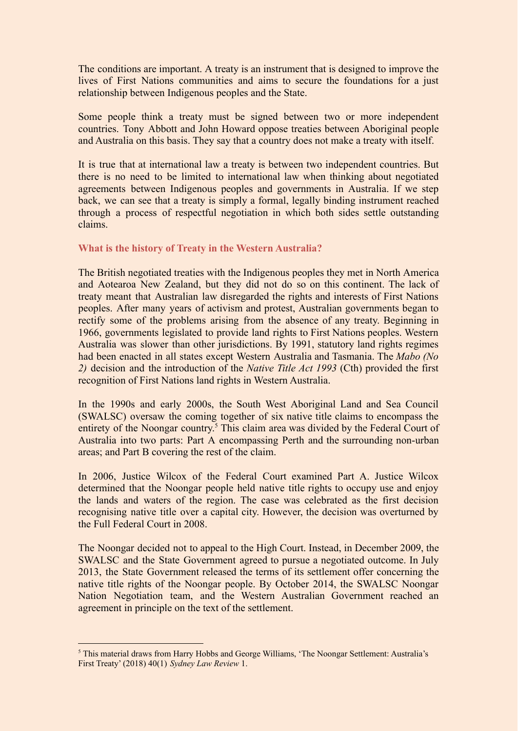The conditions are important. A treaty is an instrument that is designed to improve the lives of First Nations communities and aims to secure the foundations for a just relationship between Indigenous peoples and the State.

Some people think a treaty must be signed between two or more independent countries. Tony Abbott and John Howard oppose treaties between Aboriginal people and Australia on this basis. They say that a country does not make a treaty with itself.

It is true that at international law a treaty is between two independent countries. But there is no need to be limited to international law when thinking about negotiated agreements between Indigenous peoples and governments in Australia. If we step back, we can see that a treaty is simply a formal, legally binding instrument reached through a process of respectful negotiation in which both sides settle outstanding claims.

## **What is the history of Treaty in the Western Australia?**

The British negotiated treaties with the Indigenous peoples they met in North America and Aotearoa New Zealand, but they did not do so on this continent. The lack of treaty meant that Australian law disregarded the rights and interests of First Nations peoples. After many years of activism and protest, Australian governments began to rectify some of the problems arising from the absence of any treaty. Beginning in 1966, governments legislated to provide land rights to First Nations peoples. Western Australia was slower than other jurisdictions. By 1991, statutory land rights regimes had been enacted in all states except Western Australia and Tasmania. The *Mabo (No 2)* decision and the introduction of the *Native Title Act 1993* (Cth) provided the first recognition of First Nations land rights in Western Australia.

In the 1990s and early 2000s, the South West Aboriginal Land and Sea Council (SWALSC) oversaw the coming together of six native title claims to encompass the entirety of the Noongar country.<sup>5</sup> This claim area was divided by the Federal Court of Australia into two parts: Part A encompassing Perth and the surrounding non-urban areas; and Part B covering the rest of the claim.

In 2006, Justice Wilcox of the Federal Court examined Part A. Justice Wilcox determined that the Noongar people held native title rights to occupy use and enjoy the lands and waters of the region. The case was celebrated as the first decision recognising native title over a capital city. However, the decision was overturned by the Full Federal Court in 2008.

The Noongar decided not to appeal to the High Court. Instead, in December 2009, the SWALSC and the State Government agreed to pursue a negotiated outcome. In July 2013, the State Government released the terms of its settlement offer concerning the native title rights of the Noongar people. By October 2014, the SWALSC Noongar Nation Negotiation team, and the Western Australian Government reached an agreement in principle on the text of the settlement.

<sup>&</sup>lt;sup>5</sup> This material draws from Harry Hobbs and George Williams, 'The Noongar Settlement: Australia's First Treaty' (2018) 40(1) *Sydney Law Review* 1.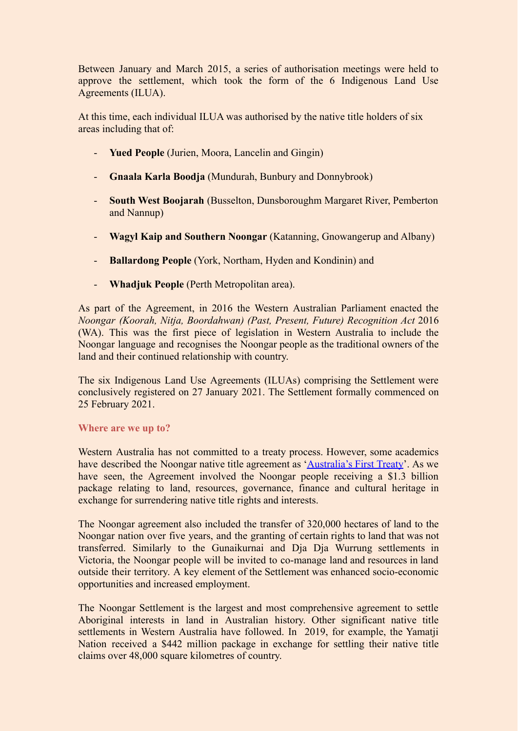Between January and March 2015, a series of authorisation meetings were held to approve the settlement, which took the form of the 6 Indigenous Land Use Agreements (ILUA).

At this time, each individual ILUA was authorised by the native title holders of six areas including that of:

- **Yued People** (Jurien, Moora, Lancelin and Gingin)
- **Gnaala Karla Boodja** (Mundurah, Bunbury and Donnybrook)
- **South West Boojarah** (Busselton, Dunsboroughm Margaret River, Pemberton and Nannup)
- **Wagyl Kaip and Southern Noongar** (Katanning, Gnowangerup and Albany)
- **Ballardong People** (York, Northam, Hyden and Kondinin) and
- **Whadjuk People** (Perth Metropolitan area).

As part of the Agreement, in 2016 the Western Australian Parliament enacted the *Noongar (Koorah, Nitja, Boordahwan) (Past, Present, Future) Recognition Act* 2016 (WA). This was the first piece of legislation in Western Australia to include the Noongar language and recognises the Noongar people as the traditional owners of the land and their continued relationship with country.

The six Indigenous Land Use Agreements (ILUAs) comprising the Settlement were conclusively registered on 27 January 2021. The Settlement formally commenced on 25 February 2021.

## **Where are we up to?**

Western Australia has not committed to a treaty process. However, some academics have described the Noongar native title agreement as ['Australia's](http://classic.austlii.edu.au/au/journals/SydLawRw/2018/1.html) First Treaty'. As we have seen, the Agreement involved the Noongar people receiving a \$1.3 billion package relating to land, resources, governance, finance and cultural heritage in exchange for surrendering native title rights and interests.

The Noongar agreement also included the transfer of 320,000 hectares of land to the Noongar nation over five years, and the granting of certain rights to land that was not transferred. Similarly to the Gunaikurnai and Dja Dja Wurrung settlements in Victoria, the Noongar people will be invited to co-manage land and resources in land outside their territory. A key element of the Settlement was enhanced socio-economic opportunities and increased employment.

The Noongar Settlement is the largest and most comprehensive agreement to settle Aboriginal interests in land in Australian history. Other significant native title settlements in Western Australia have followed. In 2019, for example, the Yamatji Nation received a \$442 million package in exchange for settling their native title claims over 48,000 square kilometres of country.